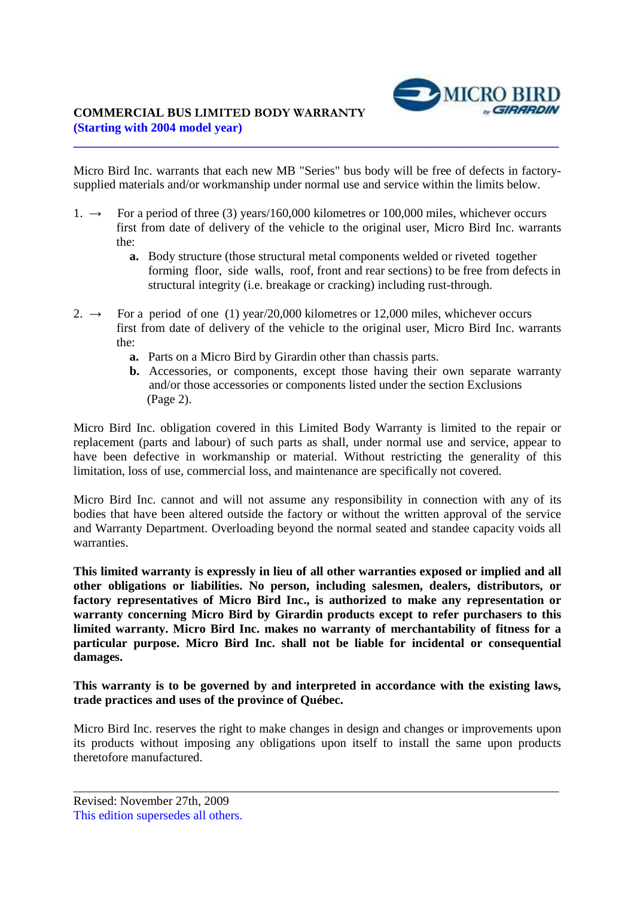## **COMMERCIAL BUS LIMITED BODY WARRANTY (Starting with 2004 model year)**



Micro Bird Inc. warrants that each new MB "Series" bus body will be free of defects in factorysupplied materials and/or workmanship under normal use and service within the limits below.

**\_\_\_\_\_\_\_\_\_\_\_\_\_\_\_\_\_\_\_\_\_\_\_\_\_\_\_\_\_\_\_\_\_\_\_\_\_\_\_\_\_\_\_\_\_\_\_\_\_\_\_\_\_\_\_\_\_\_\_\_\_\_\_\_\_\_\_\_\_\_\_\_\_\_\_\_\_\_** 

- 1.  $\rightarrow$  For a period of three (3) years/160,000 kilometres or 100,000 miles, whichever occurs first from date of delivery of the vehicle to the original user, Micro Bird Inc. warrants the:
	- **a.** Body structure (those structural metal components welded or riveted together forming floor, side walls, roof, front and rear sections) to be free from defects in structural integrity (i.e. breakage or cracking) including rust-through.
- 2.  $\rightarrow$  For a period of one (1) year/20,000 kilometres or 12,000 miles, whichever occurs first from date of delivery of the vehicle to the original user, Micro Bird Inc. warrants the:
	- **a.** Parts on a Micro Bird by Girardin other than chassis parts.
	- **b.** Accessories, or components, except those having their own separate warranty and/or those accessories or components listed under the section Exclusions (Page 2).

Micro Bird Inc. obligation covered in this Limited Body Warranty is limited to the repair or replacement (parts and labour) of such parts as shall, under normal use and service, appear to have been defective in workmanship or material. Without restricting the generality of this limitation, loss of use, commercial loss, and maintenance are specifically not covered.

Micro Bird Inc. cannot and will not assume any responsibility in connection with any of its bodies that have been altered outside the factory or without the written approval of the service and Warranty Department. Overloading beyond the normal seated and standee capacity voids all warranties.

**This limited warranty is expressly in lieu of all other warranties exposed or implied and all other obligations or liabilities. No person, including salesmen, dealers, distributors, or factory representatives of Micro Bird Inc., is authorized to make any representation or warranty concerning Micro Bird by Girardin products except to refer purchasers to this limited warranty. Micro Bird Inc. makes no warranty of merchantability of fitness for a particular purpose. Micro Bird Inc. shall not be liable for incidental or consequential damages.** 

## **This warranty is to be governed by and interpreted in accordance with the existing laws, trade practices and uses of the province of Québec.**

Micro Bird Inc. reserves the right to make changes in design and changes or improvements upon its products without imposing any obligations upon itself to install the same upon products theretofore manufactured.

\_\_\_\_\_\_\_\_\_\_\_\_\_\_\_\_\_\_\_\_\_\_\_\_\_\_\_\_\_\_\_\_\_\_\_\_\_\_\_\_\_\_\_\_\_\_\_\_\_\_\_\_\_\_\_\_\_\_\_\_\_\_\_\_\_\_\_\_\_\_\_\_\_\_\_\_\_\_